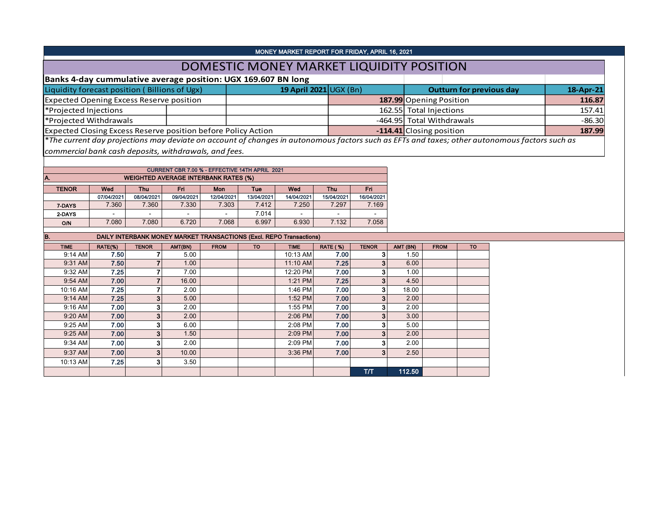| MONEY MARKET REPORT FOR FRIDAY, APRIL 16, 2021                                                                                               |  |                        |  |                                 |           |  |  |  |  |  |  |
|----------------------------------------------------------------------------------------------------------------------------------------------|--|------------------------|--|---------------------------------|-----------|--|--|--|--|--|--|
| DOMESTIC MONEY MARKET LIQUIDITY POSITION                                                                                                     |  |                        |  |                                 |           |  |  |  |  |  |  |
| Banks 4-day cummulative average position: UGX 169.607 BN long                                                                                |  |                        |  |                                 |           |  |  |  |  |  |  |
| Liquidity forecast position (Billions of Ugx)                                                                                                |  | 19 April 2021 UGX (Bn) |  | <b>Outturn for previous day</b> | 18-Apr-21 |  |  |  |  |  |  |
| Expected Opening Excess Reserve position                                                                                                     |  |                        |  | 187.99 Opening Position         | 116.87    |  |  |  |  |  |  |
| *Projected Injections                                                                                                                        |  |                        |  | 162.55 Total Injections         | 157.41    |  |  |  |  |  |  |
| *Projected Withdrawals                                                                                                                       |  |                        |  | -464.95 Total Withdrawals       | $-86.30$  |  |  |  |  |  |  |
| Expected Closing Excess Reserve position before Policy Action                                                                                |  |                        |  | -114.41 Closing position        | 187.99    |  |  |  |  |  |  |
| The current day projections may deviate on account of changes in autonomous factors such as EFTs and taxes; other autonomous factors such as |  |                        |  |                                 |           |  |  |  |  |  |  |

*commercial bank cash deposits, withdrawals, and fees.*

| CURRENT CBR 7.00 % - EFFECTIVE 14TH APRIL 2021     |                                                                   |                          |                          |            |            |            |            |            |  |  |  |  |  |  |
|----------------------------------------------------|-------------------------------------------------------------------|--------------------------|--------------------------|------------|------------|------------|------------|------------|--|--|--|--|--|--|
| <b>WEIGHTED AVERAGE INTERBANK RATES (%)</b><br>IA. |                                                                   |                          |                          |            |            |            |            |            |  |  |  |  |  |  |
| <b>TENOR</b>                                       | <b>Fn</b><br>Wed<br>Fri<br>Wed<br>Thu<br><b>Thu</b><br>Mon<br>Tue |                          |                          |            |            |            |            |            |  |  |  |  |  |  |
|                                                    | 07/04/2021                                                        | 08/04/2021               | 09/04/2021               | 12/04/2021 | 13/04/2021 | 14/04/2021 | 15/04/2021 | 16/04/2021 |  |  |  |  |  |  |
| 7-DAYS                                             | 7.360                                                             | 7.360                    | 7.330                    | 7.303      | 7.412      | 7.250      | 7.297      | 7.169      |  |  |  |  |  |  |
| 2-DAYS                                             | -                                                                 | $\overline{\phantom{0}}$ | $\overline{\phantom{0}}$ |            | 7.014      |            | -          |            |  |  |  |  |  |  |
| O/N                                                | 7.080                                                             | 7.080                    | 6.720                    | 7.068      | 6.997      | 6.930      | 7.132      | 7.058      |  |  |  |  |  |  |

| B.          | <b>DAILY INTERBANK MONEY MARKET TRANSACTIONS (Excl. REPO Transactions)</b> |              |         |             |           |             |                 |              |          |             |           |  |  |  |  |
|-------------|----------------------------------------------------------------------------|--------------|---------|-------------|-----------|-------------|-----------------|--------------|----------|-------------|-----------|--|--|--|--|
| <b>TIME</b> | RATE(%)                                                                    | <b>TENOR</b> | AMT(BN) | <b>FROM</b> | <b>TO</b> | <b>TIME</b> | <b>RATE (%)</b> | <b>TENOR</b> | AMT (BN) | <b>FROM</b> | <b>TO</b> |  |  |  |  |
| 9:14 AM     | 7.50                                                                       |              | 5.00    |             |           | 10:13 AM    | 7.00            |              | 1.50     |             |           |  |  |  |  |
| 9:31 AM     | 7.50                                                                       |              | 1.00    |             |           | 11:10 AM    | 7.25            |              | 6.00     |             |           |  |  |  |  |
| 9:32 AM     | 7.25                                                                       |              | 7.00    |             |           | 12:20 PM    | 7.00            | 3            | 1.00     |             |           |  |  |  |  |
| $9:54$ AM   | 7.00                                                                       |              | 16.00   |             |           | 1:21 PM     | 7.25            | 3            | 4.50     |             |           |  |  |  |  |
| 10:16 AM    | 7.25                                                                       |              | 2.00    |             |           | 1:46 PM     | 7.00            |              | 18.00    |             |           |  |  |  |  |
| $9:14$ AM   | 7.25                                                                       | 3            | 5.00    |             |           | 1:52 PM     | 7.00            | 3            | 2.00     |             |           |  |  |  |  |
| $9:16$ AM   | 7.00                                                                       | з            | 2.00    |             |           | 1:55 PM     | 7.00            | 3            | 2.00     |             |           |  |  |  |  |
| 9:20 AM     | 7.00                                                                       | 3            | 2.00    |             |           | $2:06$ PM   | 7.00            |              | 3.00     |             |           |  |  |  |  |
| 9:25 AM     | 7.00                                                                       | 3            | 6.00    |             |           | 2:08 PM     | 7.00            |              | 5.00     |             |           |  |  |  |  |
| $9:25$ AM   | 7.00                                                                       | 3            | 1.50    |             |           | 2:09 PM     | 7.00            | 3            | 2.00     |             |           |  |  |  |  |
| 9:34 AM     | 7.00                                                                       |              | 2.00    |             |           | 2:09 PM     | 7.00            |              | 2.00     |             |           |  |  |  |  |
| 9:37 AM     | 7.00                                                                       | 3            | 10.00   |             |           | 3:36 PM     | 7.00            | 3            | 2.50     |             |           |  |  |  |  |
| 10:13 AM    | 7.25                                                                       | 3            | 3.50    |             |           |             |                 |              |          |             |           |  |  |  |  |
|             |                                                                            |              |         |             |           |             |                 | <b>T/T</b>   | 112.50   |             |           |  |  |  |  |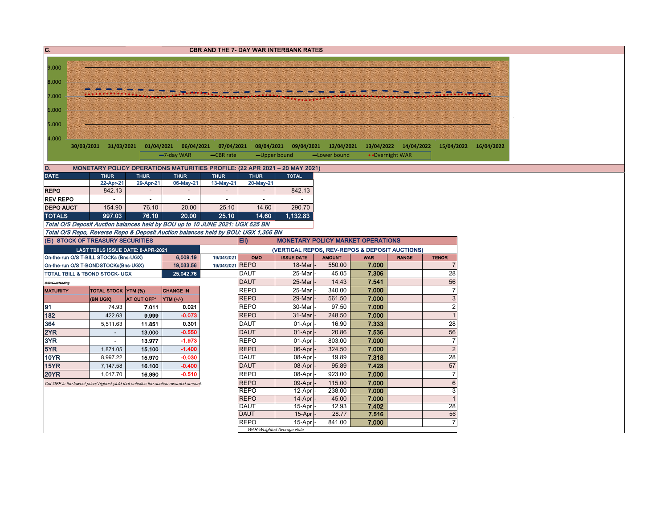| C.                                 | <b>CBR AND THE 7- DAY WAR INTERBANK RATES</b>                                           |             |                  |                 |                            |                                                |                  |                |                       |                      |                       |  |  |
|------------------------------------|-----------------------------------------------------------------------------------------|-------------|------------------|-----------------|----------------------------|------------------------------------------------|------------------|----------------|-----------------------|----------------------|-----------------------|--|--|
|                                    |                                                                                         |             |                  |                 |                            |                                                |                  |                |                       |                      |                       |  |  |
| 9.000                              |                                                                                         |             |                  |                 |                            |                                                |                  |                |                       |                      |                       |  |  |
| 8.000                              |                                                                                         |             |                  |                 |                            |                                                |                  |                |                       |                      |                       |  |  |
|                                    |                                                                                         |             |                  |                 |                            |                                                |                  |                |                       |                      |                       |  |  |
| 7.000                              |                                                                                         |             |                  |                 |                            |                                                |                  |                |                       |                      |                       |  |  |
| 6.000                              |                                                                                         |             |                  |                 |                            |                                                |                  |                |                       |                      |                       |  |  |
| 5.000                              |                                                                                         |             |                  |                 |                            |                                                |                  |                |                       |                      |                       |  |  |
|                                    |                                                                                         |             |                  |                 |                            |                                                |                  |                |                       |                      |                       |  |  |
| 4.000                              |                                                                                         |             |                  |                 |                            |                                                |                  |                |                       |                      |                       |  |  |
|                                    | 30/03/2021 31/03/2021 01/04/2021 06/04/2021 07/04/2021 08/04/2021 09/04/2021 12/04/2021 |             |                  |                 |                            |                                                |                  |                | 13/04/2022 14/04/2022 |                      | 15/04/2022 16/04/2022 |  |  |
|                                    |                                                                                         |             | -7-day WAR       | -CBR rate       | -Upper bound               |                                                | -Lower bound     |                | • Overnight WAR       |                      |                       |  |  |
| D.                                 | MONETARY POLICY OPERATIONS MATURITIES PROFILE: (22 APR 2021 - 20 MAY 2021)              |             |                  |                 |                            |                                                |                  |                |                       |                      |                       |  |  |
| <b>DATE</b>                        | <b>THUR</b>                                                                             | <b>THUR</b> | <b>THUR</b>      | <b>THUR</b>     | <b>THUR</b>                | <b>TOTAL</b>                                   |                  |                |                       |                      |                       |  |  |
| <b>REPO</b>                        | 22-Apr-21<br>842.13                                                                     | 29-Apr-21   | 06-May-21        | 13-May-21       | 20-May-21                  | 842.13                                         |                  |                |                       |                      |                       |  |  |
| <b>REV REPO</b>                    |                                                                                         | $\sim$      | $\sim$           | $\sim$          | $\sim$                     |                                                |                  |                |                       |                      |                       |  |  |
| <b>DEPO AUCT</b>                   | 154.90                                                                                  | 76.10       | 20.00            | 25.10           | 14.60                      | 290.70                                         |                  |                |                       |                      |                       |  |  |
| <b>TOTALS</b>                      | 997.03                                                                                  | 76.10       | 20.00            | 25.10           | 14.60                      | 1,132.83                                       |                  |                |                       |                      |                       |  |  |
|                                    | Total O/S Deposit Auction balances held by BOU up to 10 JUNE 2021: UGX 525 BN           |             |                  |                 |                            |                                                |                  |                |                       |                      |                       |  |  |
|                                    | Total O/S Repo, Reverse Repo & Deposit Auction balances held by BOU: UGX 1,366 BN       |             |                  |                 |                            |                                                |                  |                |                       |                      |                       |  |  |
|                                    | (Ei) STOCK OF TREASURY SECURITIES                                                       |             |                  |                 | Eii)                       | <b>MONETARY POLICY MARKET OPERATIONS</b>       |                  |                |                       |                      |                       |  |  |
|                                    | LAST TBIILS ISSUE DATE: 8-APR-2021                                                      |             |                  |                 |                            | (VERTICAL REPOS, REV-REPOS & DEPOSIT AUCTIONS) |                  |                |                       |                      |                       |  |  |
|                                    | On-the-run O/S T-BILL STOCKs (Bns-UGX)                                                  |             | 6,009.19         | 19/04/2021      | OMO                        | <b>ISSUE DATE</b>                              | <b>AMOUNT</b>    | <b>WAR</b>     | <b>RANGE</b>          | <b>TENOR</b>         |                       |  |  |
|                                    | On-the-run O/S T-BONDSTOCKs(Bns-UGX)                                                    |             | 19,033.56        | 19/04/2021 REPO |                            | 18-Mar                                         | 550.00           | 7.000          |                       | $\overline{7}$       |                       |  |  |
|                                    | TOTAL TBILL & TBOND STOCK- UGX                                                          |             | 25,042.76        |                 | <b>DAUT</b><br><b>DAUT</b> | 25-Mar<br>25-Mar                               | 45.05<br>14.43   | 7.306<br>7.541 |                       | 28<br>56             |                       |  |  |
| O/S=Outstanding<br><b>MATURITY</b> | TOTAL STOCK YTM (%)                                                                     |             | <b>CHANGE IN</b> |                 | <b>REPO</b>                | 25-Mar                                         | 340.00           | 7.000          |                       | $\overline{7}$       |                       |  |  |
|                                    | (BN UGX)                                                                                | AT CUT OFF* | YTM (+/-)        |                 | <b>REPO</b>                | 29-Mar                                         | 561.50           | 7.000          |                       | 3                    |                       |  |  |
| 91                                 | 74.93                                                                                   | 7.011       | 0.021            |                 | <b>REPO</b>                | 30-Mar                                         | 97.50            | 7.000          |                       | $\overline{c}$       |                       |  |  |
| 182                                | 422.63                                                                                  | 9.999       | $-0.073$         |                 | <b>REPO</b>                | 31-Mar                                         | 248.50           | 7.000          |                       | $\overline{1}$       |                       |  |  |
| 364                                | 5,511.63                                                                                | 11.851      | 0.301            |                 | <b>DAUT</b>                | 01-Apr                                         | 16.90            | 7.333          |                       | 28                   |                       |  |  |
| 2YR                                | $\sim$                                                                                  | 13.000      | $-0.550$         |                 | <b>DAUT</b>                | 01-Apr                                         | 20.86            | 7.536          |                       | 56                   |                       |  |  |
| 3YR                                | $\sim$                                                                                  | 13.977      | $-1.973$         |                 | <b>REPO</b>                | 01-Apr                                         | 803.00           | 7.000          |                       | $\overline{7}$       |                       |  |  |
| 5YR                                | 1,871.05                                                                                | 15.100      | $-1.400$         |                 | <b>REPO</b>                | $06-Apr$                                       | 324.50           | 7.000          |                       | $\sqrt{2}$           |                       |  |  |
| <b>10YR</b>                        | 8,997.22                                                                                | 15.970      | $-0.030$         |                 | <b>DAUT</b>                | 08-Apr                                         | 19.89            | 7.318          |                       | 28                   |                       |  |  |
| 15YR                               | 7,147.58                                                                                | 16.100      | $-0.400$         |                 | <b>DAUT</b>                | 08-Apr                                         | 95.89            | 7.428          |                       | 57<br>$\overline{7}$ |                       |  |  |
| <b>20YR</b>                        | 1,017.70                                                                                | 16.990      | $-0.510$         |                 | <b>REPO</b><br><b>REPO</b> | 08-Apr<br>09-Apr                               | 923.00           | 7.000<br>7.000 |                       | $\,6\,$              |                       |  |  |
|                                    | Cut OFF is the lowest price/ highest yield that satisfies the auction awarded amount.   |             |                  |                 | <b>REPO</b>                | 12-Apr                                         | 115.00<br>238.00 | 7.000          |                       | $\overline{3}$       |                       |  |  |
|                                    |                                                                                         |             |                  |                 | <b>REPO</b>                | 14-Apr                                         | 45.00            | 7.000          |                       | $\overline{1}$       |                       |  |  |
|                                    |                                                                                         |             |                  |                 | <b>DAUT</b>                | 15-Apr                                         | 12.93            | 7.402          |                       | $\overline{28}$      |                       |  |  |
|                                    |                                                                                         |             |                  |                 | <b>DAUT</b>                | 15-Apr                                         | 28.77            | 7.516          |                       | 56                   |                       |  |  |
|                                    |                                                                                         |             |                  |                 | <b>REPO</b>                | 15-Apr                                         | 841.00           | 7.000          |                       | $\overline{7}$       |                       |  |  |
|                                    |                                                                                         |             |                  |                 |                            | WAR-Weighted Average Rate                      |                  |                |                       |                      |                       |  |  |